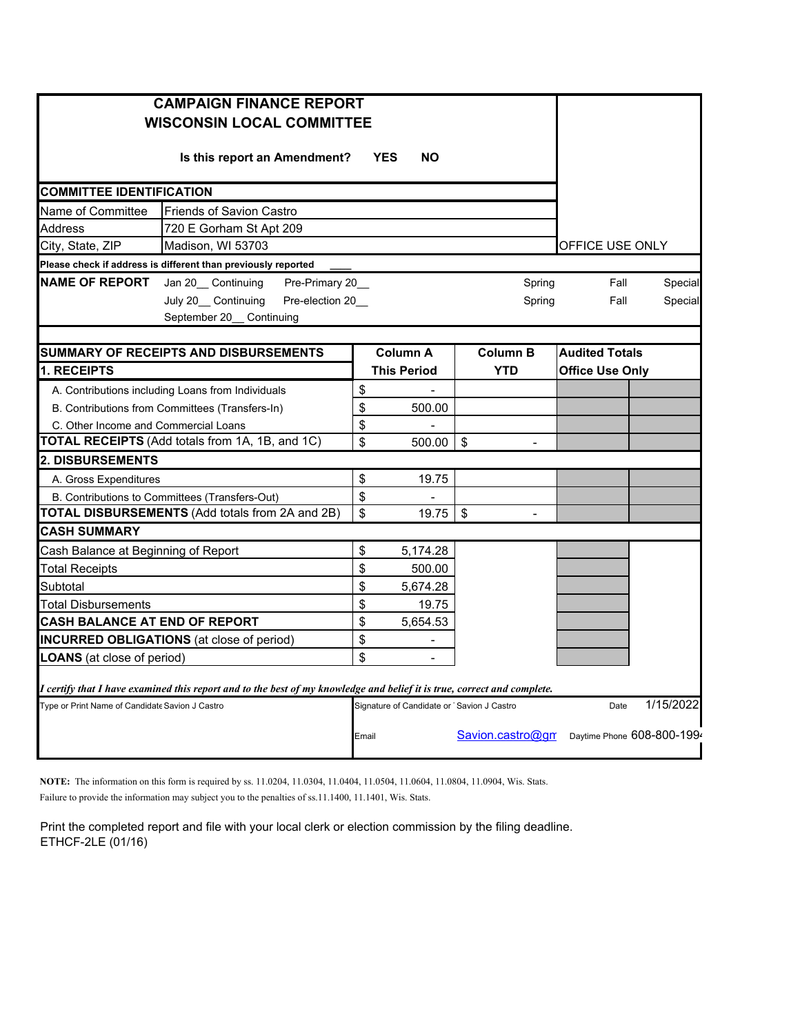| <b>CAMPAIGN FINANCE REPORT</b><br><b>WISCONSIN LOCAL COMMITTEE</b>                                                      |                                                                       |                 |                                           |                                             |                            |           |
|-------------------------------------------------------------------------------------------------------------------------|-----------------------------------------------------------------------|-----------------|-------------------------------------------|---------------------------------------------|----------------------------|-----------|
|                                                                                                                         |                                                                       |                 |                                           |                                             |                            |           |
| <b>COMMITTEE IDENTIFICATION</b>                                                                                         |                                                                       |                 |                                           |                                             |                            |           |
| Name of Committee                                                                                                       |                                                                       |                 |                                           |                                             |                            |           |
| Address                                                                                                                 | 720 E Gorham St Apt 209                                               |                 |                                           |                                             |                            |           |
| City, State, ZIP                                                                                                        | Madison, WI 53703                                                     | OFFICE USE ONLY |                                           |                                             |                            |           |
|                                                                                                                         | Please check if address is different than previously reported         |                 |                                           |                                             |                            |           |
| <b>NAME OF REPORT</b>                                                                                                   | Jan 20_ Continuing<br>Pre-Primary 20_                                 |                 |                                           | Spring                                      | Fall                       | Special   |
|                                                                                                                         | Pre-election 20<br>July 20_ Continuing<br>September 20_<br>Continuing |                 |                                           | Spring                                      | Fall                       | Special   |
|                                                                                                                         |                                                                       |                 |                                           |                                             |                            |           |
|                                                                                                                         | SUMMARY OF RECEIPTS AND DISBURSEMENTS                                 |                 | <b>Column A</b>                           | <b>Column B</b>                             | <b>Audited Totals</b>      |           |
| 1. RECEIPTS                                                                                                             |                                                                       |                 | <b>This Period</b>                        | <b>YTD</b>                                  | <b>Office Use Only</b>     |           |
|                                                                                                                         | A. Contributions including Loans from Individuals                     | \$              |                                           |                                             |                            |           |
|                                                                                                                         | B. Contributions from Committees (Transfers-In)                       | \$              | 500.00                                    |                                             |                            |           |
| C. Other Income and Commercial Loans                                                                                    |                                                                       | \$              |                                           |                                             |                            |           |
| TOTAL RECEIPTS (Add totals from 1A, 1B, and 1C)                                                                         |                                                                       |                 | 500.00                                    | $\sqrt{3}$<br>$\overline{a}$                |                            |           |
| <b>2. DISBURSEMENTS</b>                                                                                                 |                                                                       |                 |                                           |                                             |                            |           |
| A. Gross Expenditures                                                                                                   |                                                                       | \$              | 19.75                                     |                                             |                            |           |
| B. Contributions to Committees (Transfers-Out)                                                                          |                                                                       |                 |                                           |                                             |                            |           |
| TOTAL DISBURSEMENTS (Add totals from 2A and 2B)                                                                         |                                                                       |                 | 19.75                                     | $\boldsymbol{\mathsf{S}}$<br>$\blacksquare$ |                            |           |
| <b>CASH SUMMARY</b>                                                                                                     |                                                                       |                 |                                           |                                             |                            |           |
| Cash Balance at Beginning of Report                                                                                     |                                                                       | $\mathfrak s$   | 5,174.28                                  |                                             |                            |           |
| <b>Total Receipts</b>                                                                                                   |                                                                       | \$              | 500.00                                    |                                             |                            |           |
| Subtotal                                                                                                                |                                                                       | \$              | 5,674.28                                  |                                             |                            |           |
| Total Disbursements                                                                                                     |                                                                       |                 | 19.75                                     |                                             |                            |           |
| <b>CASH BALANCE AT END OF REPORT</b>                                                                                    |                                                                       |                 | 5,654.53                                  |                                             |                            |           |
| <b>INCURRED OBLIGATIONS</b> (at close of period)                                                                        |                                                                       |                 | $\blacksquare$                            |                                             |                            |           |
| <b>LOANS</b> (at close of period)                                                                                       |                                                                       |                 | $\overline{a}$                            |                                             |                            |           |
| I certify that I have examined this report and to the best of my knowledge and belief it is true, correct and complete. |                                                                       |                 |                                           |                                             |                            |           |
| Type or Print Name of Candidate Savion J Castro                                                                         |                                                                       |                 | Signature of Candidate or Savion J Castro |                                             | Date                       | 1/15/2022 |
|                                                                                                                         |                                                                       | Email           |                                           | Savion.castro@gm                            | Daytime Phone 608-800-1994 |           |

**NOTE:** The information on this form is required by ss. 11.0204, 11.0304, 11.0404, 11.0504, 11.0604, 11.0804, 11.0904, Wis. Stats. Failure to provide the information may subject you to the penalties of ss.11.1400, 11.1401, Wis. Stats.

Print the completed report and file with your local clerk or election commission by the filing deadline. ETHCF-2LE (01/16)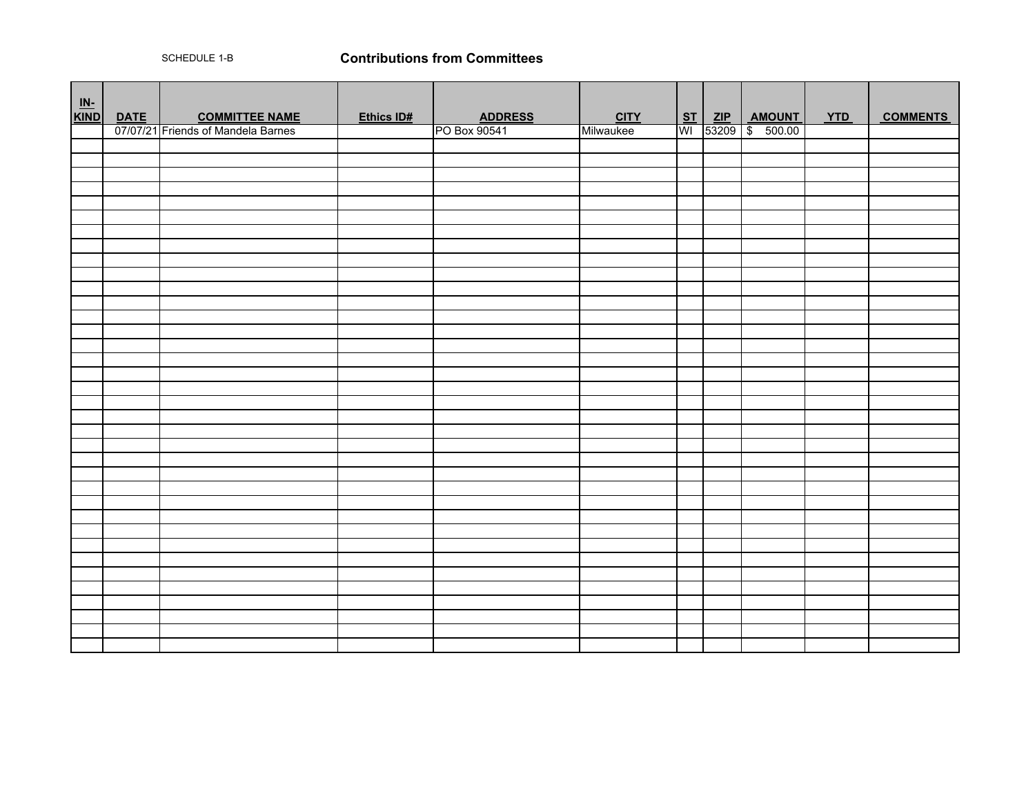SCHEDULE 1-B

## **Contributions from Committees**

| $\begin{array}{c}\n\underline{\mathsf{IN-}} \\ \underline{\mathsf{KIND}}\n\end{array}$ |             |                                    |            |                |             |  |                      |            |                 |
|----------------------------------------------------------------------------------------|-------------|------------------------------------|------------|----------------|-------------|--|----------------------|------------|-----------------|
|                                                                                        | <b>DATE</b> | <b>COMMITTEE NAME</b>              | Ethics ID# | <b>ADDRESS</b> | <b>CITY</b> |  | <u>ST ZIP AMOUNT</u> | <b>YTD</b> | <b>COMMENTS</b> |
|                                                                                        |             | 07/07/21 Friends of Mandela Barnes |            | PO Box 90541   | Milwaukee   |  | WI 53209 \$ 500.00   |            |                 |
|                                                                                        |             |                                    |            |                |             |  |                      |            |                 |
|                                                                                        |             |                                    |            |                |             |  |                      |            |                 |
|                                                                                        |             |                                    |            |                |             |  |                      |            |                 |
|                                                                                        |             |                                    |            |                |             |  |                      |            |                 |
|                                                                                        |             |                                    |            |                |             |  |                      |            |                 |
|                                                                                        |             |                                    |            |                |             |  |                      |            |                 |
|                                                                                        |             |                                    |            |                |             |  |                      |            |                 |
|                                                                                        |             |                                    |            |                |             |  |                      |            |                 |
|                                                                                        |             |                                    |            |                |             |  |                      |            |                 |
|                                                                                        |             |                                    |            |                |             |  |                      |            |                 |
|                                                                                        |             |                                    |            |                |             |  |                      |            |                 |
|                                                                                        |             |                                    |            |                |             |  |                      |            |                 |
|                                                                                        |             |                                    |            |                |             |  |                      |            |                 |
|                                                                                        |             |                                    |            |                |             |  |                      |            |                 |
|                                                                                        |             |                                    |            |                |             |  |                      |            |                 |
|                                                                                        |             |                                    |            |                |             |  |                      |            |                 |
|                                                                                        |             |                                    |            |                |             |  |                      |            |                 |
|                                                                                        |             |                                    |            |                |             |  |                      |            |                 |
|                                                                                        |             |                                    |            |                |             |  |                      |            |                 |
|                                                                                        |             |                                    |            |                |             |  |                      |            |                 |
|                                                                                        |             |                                    |            |                |             |  |                      |            |                 |
|                                                                                        |             |                                    |            |                |             |  |                      |            |                 |
|                                                                                        |             |                                    |            |                |             |  |                      |            |                 |
|                                                                                        |             |                                    |            |                |             |  |                      |            |                 |
|                                                                                        |             |                                    |            |                |             |  |                      |            |                 |
|                                                                                        |             |                                    |            |                |             |  |                      |            |                 |
|                                                                                        |             |                                    |            |                |             |  |                      |            |                 |
|                                                                                        |             |                                    |            |                |             |  |                      |            |                 |
|                                                                                        |             |                                    |            |                |             |  |                      |            |                 |
|                                                                                        |             |                                    |            |                |             |  |                      |            |                 |
|                                                                                        |             |                                    |            |                |             |  |                      |            |                 |
|                                                                                        |             |                                    |            |                |             |  |                      |            |                 |
|                                                                                        |             |                                    |            |                |             |  |                      |            |                 |
|                                                                                        |             |                                    |            |                |             |  |                      |            |                 |